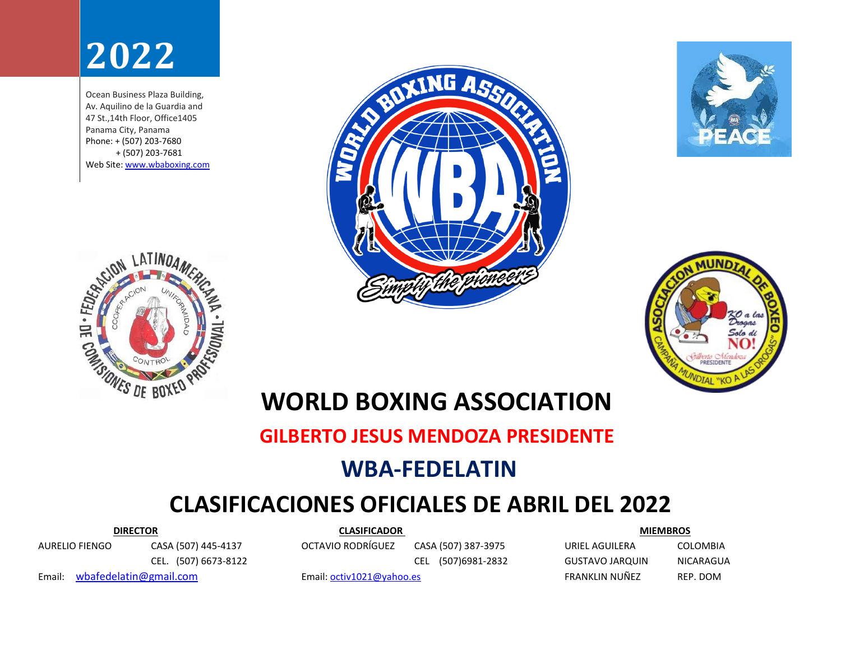# **2022**

Ocean Business Plaza Building, Av. Aquilino de la Guardia and 47 St.,14th Floor, Office1405 Panama City, Panama Phone: + (507) 203-7680 + (507) 203-7681 Web Site: [www.wbaboxing.com](http://www.wbaboxing.com/)







## **WORLD BOXING ASSOCIATION**

#### **GILBERTO JESUS MENDOZA PRESIDENTE WBA-FEDELATIN**

### **CLASIFICACIONES OFICIALES DE ABRIL DEL 2022**

AURELIO FIENGO CASA (507) 445-4137 OCTAVIO RODRÍGUEZ CASA (507) 387-3975 URIEL AGUILERA COLOMBIA

 **DIRECTOR CLASIFICADOR MIEMBROS**

CEL. (507) 6673-8122 CEL (507)6981-2832 GUSTAVO JARQUIN NICARAGUA

Email: [wbafedelatin@gmail.com](file:///C:/Users/HP%20800%20G1/Documents/FEDELATIN%202021/wbafedelatin@gmail.com) email: [octiv1021@yahoo.es](mailto:octiv1021@yahoo.es) FRANKLIN NUÑEZ REP. DOM

**ENGLISH LATINUAM!**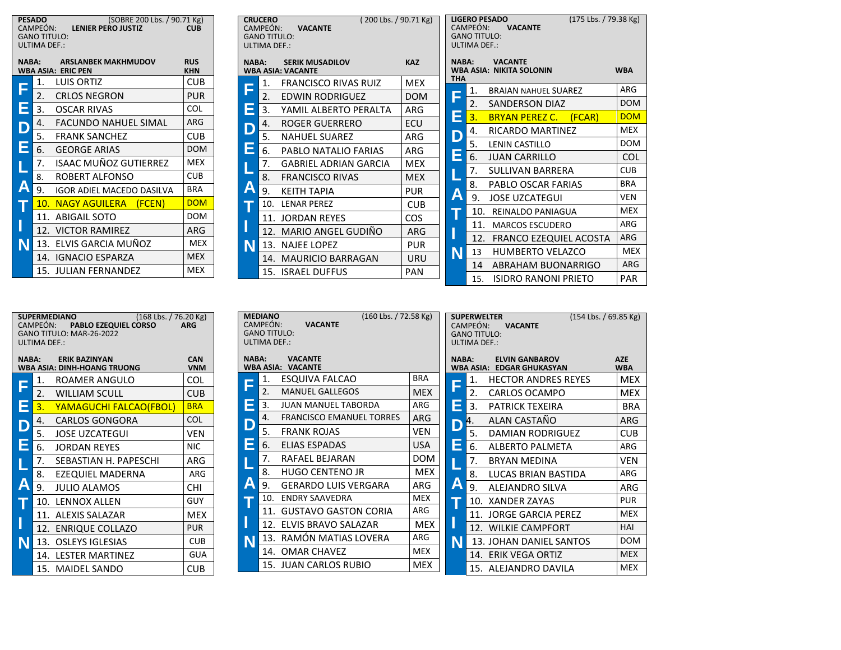| (SOBRE 200 Lbs. / 90.71 Kg)<br><b>PESADO</b><br>CAMPEÓN: LENIER PERO JUSTIZ<br><b>CUB</b><br><b>GANO TITULO:</b><br><b>ULTIMA DEF.:</b> |                                   |            |  |  |  |  |  |  |
|-----------------------------------------------------------------------------------------------------------------------------------------|-----------------------------------|------------|--|--|--|--|--|--|
| <b>ARSLANBEK MAKHMUDOV</b><br><b>RUS</b><br>NABA:<br><b>WBA ASIA: ERIC PEN</b><br><b>KHN</b>                                            |                                   |            |  |  |  |  |  |  |
| F                                                                                                                                       | 1.<br>LUIS ORTIZ                  | <b>CUB</b> |  |  |  |  |  |  |
|                                                                                                                                         | 2.<br><b>CRLOS NEGRON</b>         | PUR        |  |  |  |  |  |  |
| E                                                                                                                                       | 3.<br>OSCAR RIVAS                 | <b>COL</b> |  |  |  |  |  |  |
|                                                                                                                                         | 4.<br><b>FACUNDO NAHUEL SIMAL</b> | ARG        |  |  |  |  |  |  |
| $\mathsf{D}$                                                                                                                            | 5.<br><b>FRANK SANCHEZ</b>        | <b>CUB</b> |  |  |  |  |  |  |
| E                                                                                                                                       | 6.<br><b>GEORGE ARIAS</b>         | <b>DOM</b> |  |  |  |  |  |  |
|                                                                                                                                         | ISAAC MUÑOZ GUTIERREZ<br>7.       | <b>MEX</b> |  |  |  |  |  |  |
|                                                                                                                                         | ROBERT ALFONSO<br>8.              | <b>CUB</b> |  |  |  |  |  |  |
| Α                                                                                                                                       | 9.<br>IGOR ADIEL MACEDO DASILVA   | <b>BRA</b> |  |  |  |  |  |  |
|                                                                                                                                         | 10. NAGY AGUILERA (FCEN)          | <b>DOM</b> |  |  |  |  |  |  |
|                                                                                                                                         | 11.<br><b>ABIGAIL SOTO</b>        | DOM        |  |  |  |  |  |  |
|                                                                                                                                         | 12. VICTOR RAMIREZ                | ARG        |  |  |  |  |  |  |
| N                                                                                                                                       | 13. ELVIS GARCIA MUÑOZ            | <b>MEX</b> |  |  |  |  |  |  |
|                                                                                                                                         | 14. IGNACIO ESPARZA               | <b>MEX</b> |  |  |  |  |  |  |
|                                                                                                                                         | 15. JULIAN FERNANDEZ              | <b>MEX</b> |  |  |  |  |  |  |

| (200 Lbs. / 90.71 Kg)<br><b>CRUCERO</b><br>CAMPEÓN: <b>VACANTE</b><br><b>GANO TITULO:</b> |     |                              |            |  |  |  |  |
|-------------------------------------------------------------------------------------------|-----|------------------------------|------------|--|--|--|--|
| ULTIMA DEF.:<br><b>KAZ</b><br><b>NABA: SERIK MUSADILOV</b><br><b>WBA ASIA: VACANTE</b>    |     |                              |            |  |  |  |  |
|                                                                                           | 1.  | FRANCISCO RIVAS RUIZ         | MEX        |  |  |  |  |
|                                                                                           | 2.  | EDWIN RODRIGUEZ              | DOM        |  |  |  |  |
| Е                                                                                         | 3.  | YAMIL ALBERTO PERALTA        | ARG        |  |  |  |  |
| D                                                                                         | 4.  | ROGER GUERRERO               | ECU        |  |  |  |  |
|                                                                                           | 5.  | <b>NAHUEL SUAREZ</b>         | ARG        |  |  |  |  |
| Е                                                                                         | 6.  | PABLO NATALIO FARIAS         | ARG        |  |  |  |  |
|                                                                                           | 7.  | <b>GABRIEL ADRIAN GARCIA</b> | <b>MEX</b> |  |  |  |  |
|                                                                                           | 8.  | <b>FRANCISCO RIVAS</b>       | MEX        |  |  |  |  |
| $\blacktriangle$                                                                          | 9.  | <b>KFITH TAPIA</b>           | <b>PUR</b> |  |  |  |  |
|                                                                                           | 10. | <b>IFNAR PFRFZ</b>           | <b>CUB</b> |  |  |  |  |
|                                                                                           | 11. | <b>JORDAN REYES</b>          | COS.       |  |  |  |  |
|                                                                                           | 12. | MARIO ANGEL GUDIÑO           | ARG        |  |  |  |  |
|                                                                                           |     | 13. NAJEE LOPEZ              | <b>PUR</b> |  |  |  |  |
|                                                                                           | 14. | <b>MAURICIO BARRAGAN</b>     | URU        |  |  |  |  |
|                                                                                           |     | 15. ISRAEL DUFFUS            | PAN        |  |  |  |  |

|              | <b>LIGERO PESADO</b><br>CAMPEÓN:<br><b>VACANTE</b><br><b>GANO TITULO:</b><br>ULTIMA DEF.: | (175 Lbs. / 79.38 Kg) |            |
|--------------|-------------------------------------------------------------------------------------------|-----------------------|------------|
| NABA:<br>THA | <b>VACANTE</b><br><b>WBA ASIA: NIKITA SOLONIN</b>                                         |                       | <b>WBA</b> |
| F            | 1.<br><b>BRAIAN NAHUEL SUAREZ</b>                                                         |                       | ARG        |
|              | 2.<br><b>SANDERSON DIAZ</b>                                                               |                       | <b>DOM</b> |
| Е            | 3.<br><b>BRYAN PEREZ C. (FCAR)</b>                                                        |                       | <b>DOM</b> |
|              | 4.<br>RICARDO MARTINEZ                                                                    |                       | <b>MEX</b> |
| D<br>E       | 5.<br><b>LENIN CASTILLO</b>                                                               |                       | <b>DOM</b> |
|              | 6.<br><b>JUAN CARRILLO</b>                                                                |                       | <b>COL</b> |
|              | 7.<br>SULLIVAN BARRERA                                                                    |                       | <b>CUB</b> |
|              | 8.<br>PABLO OSCAR FARIAS                                                                  |                       | <b>BRA</b> |
| Α            | <b>JOSE UZCATEGUI</b><br>9.                                                               |                       | <b>VEN</b> |
|              | 10.<br>REINALDO PANIAGUA                                                                  |                       | <b>MEX</b> |
|              | 11.<br><b>MARCOS ESCUDERO</b>                                                             |                       | ARG        |
|              | 12.<br>FRANCO EZEQUIEL ACOSTA                                                             |                       | <b>ARG</b> |
| N            | <b>HUMBERTO VELAZCO</b><br>13                                                             |                       | <b>MEX</b> |
|              | <b>ABRAHAM BUONARRIGO</b><br>14                                                           |                       | ARG        |
|              | <b>ISIDRO RANONI PRIETO</b><br>15.                                                        |                       | <b>PAR</b> |

| (168 Lbs. / 76.20 Kg)<br><b>SUPERMEDIANO</b><br>CAMPEÓN: PABLO EZEQUIEL CORSO<br><b>ARG</b><br>GANO TITULO: MAR-26-2022<br>ULTIMA DEF.: |     |                         |            |  |  |  |  |  |
|-----------------------------------------------------------------------------------------------------------------------------------------|-----|-------------------------|------------|--|--|--|--|--|
| <b>ERIK BAZINYAN</b><br><b>CAN</b><br>NABA:<br><b>VNM</b><br><b>WBA ASIA: DINH-HOANG TRUONG</b>                                         |     |                         |            |  |  |  |  |  |
|                                                                                                                                         | 1.  | ROAMER ANGULO           | <b>COL</b> |  |  |  |  |  |
| F                                                                                                                                       | 2.  | <b>WILLIAM SCULL</b>    | <b>CUB</b> |  |  |  |  |  |
| Ė                                                                                                                                       | 3.  | YAMAGUCHI FALCAO(FBOL)  | <b>BRA</b> |  |  |  |  |  |
|                                                                                                                                         | 4.  | <b>CARLOS GONGORA</b>   | <b>COL</b> |  |  |  |  |  |
| D<br>E                                                                                                                                  | 5.  | <b>JOSE UZCATEGUI</b>   | <b>VEN</b> |  |  |  |  |  |
|                                                                                                                                         | 6.  | JORDAN REYES            | <b>NIC</b> |  |  |  |  |  |
| L                                                                                                                                       | 7.  | SEBASTIAN H. PAPESCHI   | ARG        |  |  |  |  |  |
| Ä                                                                                                                                       | 8.  | <b>EZEQUIEL MADERNA</b> | ARG        |  |  |  |  |  |
|                                                                                                                                         | 9.  | <b>JULIO ALAMOS</b>     | <b>CHI</b> |  |  |  |  |  |
| J                                                                                                                                       |     | 10. LENNOX ALLEN        | <b>GUY</b> |  |  |  |  |  |
|                                                                                                                                         | 11. | <b>ALEXIS SALAZAR</b>   | <b>MEX</b> |  |  |  |  |  |
|                                                                                                                                         |     | 12. ENRIQUE COLLAZO     | <b>PUR</b> |  |  |  |  |  |
| N                                                                                                                                       |     | 13. OSLEYS IGLESIAS     | <b>CUB</b> |  |  |  |  |  |
|                                                                                                                                         |     | 14. LESTER MARTINEZ     | <b>GUA</b> |  |  |  |  |  |
|                                                                                                                                         |     | 15. MAIDEL SANDO        | <b>CUB</b> |  |  |  |  |  |

|              | (160 Lbs. / 72.58 Kg)<br><b>MEDIANO</b><br>CAMPEÓN:<br><b>VACANTE</b><br><b>GANO TITULO:</b><br><b>ULTIMA DEF.:</b> |            |   | CAMPEÓN:                         | <b>SUPERWELTER</b><br>(154 Lbs. / 69.85 Kg)<br><b>VACANTE</b><br><b>GANO TITULO:</b><br><b>ULTIMA DEF.:</b> |                          |
|--------------|---------------------------------------------------------------------------------------------------------------------|------------|---|----------------------------------|-------------------------------------------------------------------------------------------------------------|--------------------------|
| <b>NABA:</b> | <b>VACANTE</b><br><b>WBA ASIA: VACANTE</b>                                                                          |            |   | <b>NABA:</b><br><b>WBA ASIA:</b> | <b>ELVIN GANBAROV</b><br><b>EDGAR GHUKASYAN</b>                                                             | <b>AZE</b><br><b>WBA</b> |
| ۰            | ESQUIVA FALCAO<br>1.                                                                                                | <b>BRA</b> | ∃ | 1.                               | <b>HECTOR ANDRES REYES</b>                                                                                  | <b>MEX</b>               |
|              | 2.<br><b>MANUEL GALLEGOS</b>                                                                                        | <b>MEX</b> |   | 2.                               | CARLOS OCAMPO                                                                                               | <b>MEX</b>               |
| ۰            | 3.<br>JUAN MANUEL TABORDA                                                                                           | ARG        | 耳 | 3.                               | <b>PATRICK TEXEIRA</b>                                                                                      | <b>BRA</b>               |
|              | <b>FRANCISCO EMANUEL TORRES</b><br>4.                                                                               | ARG        |   | И.                               | ALAN CASTAÑO                                                                                                | <b>ARG</b>               |
|              | 5.<br><b>FRANK ROJAS</b>                                                                                            | VEN        |   | 5.                               | DAMIAN RODRIGUEZ                                                                                            | CUB.                     |
| Ξ            | ELIAS ESPADAS<br>6.                                                                                                 | <b>USA</b> | Ξ | 6.                               | ALBERTO PALMETA                                                                                             | ARG                      |
|              | 7.<br>RAFAEL BEJARAN                                                                                                | <b>DOM</b> |   | 7.                               | <b>BRYAN MEDINA</b>                                                                                         | <b>VEN</b>               |
|              | 8.<br><b>HUGO CENTENO JR</b>                                                                                        | <b>MEX</b> |   | 8.                               | LUCAS BRIAN BASTIDA                                                                                         | ARG                      |
| A            | <b>GERARDO LUIS VERGARA</b><br>9.                                                                                   | ARG        | Α | 9.                               | <b>ALEJANDRO SILVA</b>                                                                                      | ARG                      |
|              | <b>ENDRY SAAVEDRA</b><br>10.                                                                                        | <b>MEX</b> |   |                                  | 10. XANDER ZAYAS                                                                                            | <b>PUR</b>               |
|              | 11.<br><b>GUSTAVO GASTON CORIA</b>                                                                                  | ARG        |   |                                  | 11. JORGE GARCIA PEREZ                                                                                      | <b>MEX</b>               |
|              | 12. ELVIS BRAVO SALAZAR                                                                                             | <b>MEX</b> | I |                                  | 12. WILKIE CAMPFORT                                                                                         | HAI                      |
| N            | 13. RAMÓN MATIAS LOVERA                                                                                             | ARG        | N |                                  | 13. JOHAN DANIEL SANTOS                                                                                     | <b>DOM</b>               |
|              | 14. OMAR CHAVEZ                                                                                                     | MEX        |   |                                  | 14. ERIK VEGA ORTIZ                                                                                         | <b>MEX</b>               |
|              | 15. JUAN CARLOS RUBIO                                                                                               | <b>MEX</b> |   |                                  | 15. ALEJANDRO DAVILA                                                                                        | <b>MEX</b>               |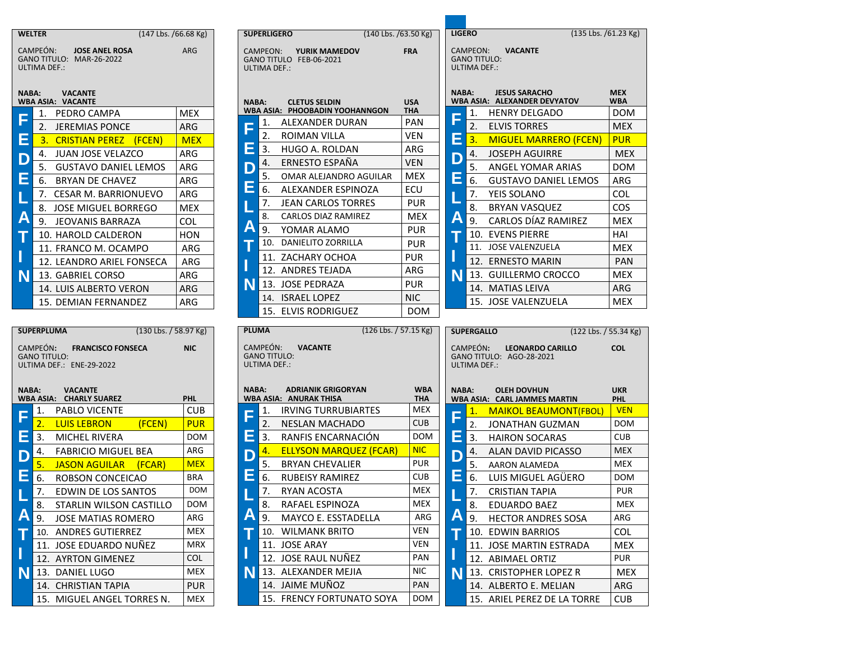|   | WELTER<br>$(147$ Lbs. /66.68 Kg)                                                                                          |                          | <b>SUPERLIGERO</b>                                              | (140 Lbs. /63.50 Kg)                        |                           | <b>LIGERO</b>     |                                                 | (135 Lbs. /61.23 Kg)                                                      |                           |
|---|---------------------------------------------------------------------------------------------------------------------------|--------------------------|-----------------------------------------------------------------|---------------------------------------------|---------------------------|-------------------|-------------------------------------------------|---------------------------------------------------------------------------|---------------------------|
|   | CAMPEÓN:<br><b>JOSE ANEL ROSA</b><br>GANO TITULO: MAR-26-2022<br><b>ULTIMA DEF.:</b>                                      | <b>ARG</b>               | CAMPEON:<br>ULTIMA DEF.:                                        | YURIK MAMEDOV<br>GANO TITULO FEB-06-2021    | <b>FRA</b>                |                   | CAMPEON:<br><b>GANO TITULO:</b><br>ULTIMA DEF.: | <b>VACANTE</b>                                                            |                           |
|   | <b>NABA:</b><br><b>VACANTE</b><br><b>WBA ASIA: VACANTE</b>                                                                |                          | <b>NABA:</b>                                                    | <b>CLETUS SELDIN</b>                        | <b>USA</b>                | <b>NABA:</b>      |                                                 | <b>JESUS SARACHO</b><br><b>WBA ASIA: ALEXANDER DEVYATOV</b>               | <b>MEX</b><br>WBA         |
|   | PEDRO CAMPA<br>1.                                                                                                         | <b>MEX</b>               |                                                                 | WBA ASIA: PHOOBADIN YOOHANNGON              | ΤΗΑ                       |                   | 1.                                              | <b>HENRY DELGADO</b>                                                      | <b>DOM</b>                |
| F | 2. JEREMIAS PONCE                                                                                                         | <b>ARG</b>               | 1.<br>F                                                         | ALEXANDER DURAN                             | PAN                       | F                 | 2.                                              | <b>ELVIS TORRES</b>                                                       | <b>MEX</b>                |
| Е | 3.<br><b>CRISTIAN PEREZ (FCEN)</b>                                                                                        | <b>MEX</b>               | 2.                                                              | <b>ROIMAN VILLA</b>                         | <b>VEN</b>                | Е                 | 3.                                              | <b>MIGUEL MARRERO (FCEN)</b>                                              | <b>PUR</b>                |
| D | 4. JUAN JOSE VELAZCO                                                                                                      | ARG                      | Е<br>3.                                                         | HUGO A. ROLDAN                              | ARG                       | D                 | 4.                                              | <b>JOSEPH AGUIRRE</b>                                                     | <b>MEX</b>                |
|   | 5. GUSTAVO DANIEL LEMOS                                                                                                   | ARG                      | 4.<br>D                                                         | ERNESTO ESPAÑA                              | <b>VEN</b>                |                   | 5.                                              | ANGEL YOMAR ARIAS                                                         | <b>DOM</b>                |
| Е | 6.<br><b>BRYAN DE CHAVEZ</b>                                                                                              | ARG                      | 5.                                                              | OMAR ALEJANDRO AGUILAR                      | <b>MEX</b>                | E                 | 6.                                              | <b>GUSTAVO DANIEL LEMOS</b>                                               | ARG                       |
|   | 7. CESAR M. BARRIONUEVO                                                                                                   | ARG                      | E<br>6.                                                         | ALEXANDER ESPINOZA                          | ECU                       |                   | 7.                                              | YEIS SOLANO                                                               | <b>COL</b>                |
|   | 8. JOSE MIGUEL BORREGO                                                                                                    | <b>MEX</b>               | 7.                                                              | <b>JEAN CARLOS TORRES</b>                   | <b>PUR</b>                |                   | 8.                                              | <b>BRYAN VASQUEZ</b>                                                      | <b>COS</b>                |
| Α | 9. JEOVANIS BARRAZA                                                                                                       | <b>COL</b>               | 8.                                                              | CARLOS DIAZ RAMIREZ                         | MEX                       | A                 | 9.                                              | CARLOS DÍAZ RAMIREZ                                                       | <b>MEX</b>                |
|   | 10. HAROLD CALDERON                                                                                                       | <b>HON</b>               | A<br>9.                                                         | YOMAR ALAMO                                 | <b>PUR</b>                | т                 |                                                 | 10. EVENS PIERRE                                                          | HAI                       |
|   | 11. FRANCO M. OCAMPO                                                                                                      | ARG                      | т                                                               | 10. DANIELITO ZORRILLA                      | <b>PUR</b>                |                   |                                                 | 11. JOSE VALENZUELA                                                       | <b>MEX</b>                |
|   | 12. LEANDRO ARIEL FONSECA                                                                                                 | ARG                      |                                                                 | 11. ZACHARY OCHOA                           | <b>PUR</b>                | I                 |                                                 | 12. ERNESTO MARIN                                                         | <b>PAN</b>                |
| N | 13. GABRIEL CORSO                                                                                                         | ARG                      |                                                                 | 12. ANDRES TEJADA                           | ARG                       | N                 |                                                 | 13. GUILLERMO CROCCO                                                      | <b>MEX</b>                |
|   | 14. LUIS ALBERTO VERON                                                                                                    | ARG                      | N                                                               | 13. JOSE PEDRAZA                            | <b>PUR</b>                |                   |                                                 | 14. MATIAS LEIVA                                                          | ARG                       |
|   | 15. DEMIAN FERNANDEZ                                                                                                      | ARG                      |                                                                 | 14. ISRAEL LOPEZ                            | <b>NIC</b>                |                   |                                                 | 15. JOSE VALENZUELA                                                       | <b>MEX</b>                |
|   |                                                                                                                           |                          |                                                                 |                                             | $(126$ Lbs. $/$ 57.15 Kg) | <b>SUPERGALLO</b> |                                                 |                                                                           | $(122$ Lbs. $/$ 55.34 Kg) |
|   | CAMPEÓN:<br><b>FRANCISCO FONSECA</b><br><b>GANO TITULO:</b><br>ULTIMA DEF.: ENE-29-2022<br><b>NABA:</b><br><b>VACANTE</b> | <b>NIC</b>               | CAMPEÓN:<br><b>GANO TITULO:</b><br>ULTIMA DEF.:<br><b>NABA:</b> | <b>VACANTE</b><br><b>ADRIANIK GRIGORYAN</b> | <b>WBA</b>                | <b>NABA:</b>      | CAMPEÓN:<br><b>ULTIMA DEF.:</b>                 | <b>LEONARDO CARILLO</b><br>GANO TITULO: AGO-28-2021<br><b>OLEH DOVHUN</b> | <b>COL</b><br><b>UKR</b>  |
|   | WBA ASIA:    CHARLY SUAREZ                                                                                                | PHL                      |                                                                 | <b>WBA ASIA: ANURAK THISA</b>               | <b>THA</b>                |                   |                                                 | WBA ASIA: CARL JAMMES MARTIN                                              | <b>PHL</b>                |
|   | PABLO VICENTE<br>1.                                                                                                       | <b>CUB</b>               | 1.<br>F                                                         | <b>IRVING TURRUBIARTES</b>                  | <b>MEX</b>                | F                 | 1.                                              | <b>MAIKOL BEAUMONT(FBOL)</b>                                              | <b>VEN</b>                |
|   | 2.<br><b>LUIS LEBRON</b><br>(FCEN)                                                                                        | <b>PUR</b>               | 2.                                                              | <b>NESLAN MACHADO</b>                       | <b>CUB</b>                |                   | 2.                                              | JONATHAN GUZMAN                                                           | <b>DOM</b>                |
| Ξ | 3.<br><b>MICHEL RIVERA</b>                                                                                                | <b>DOM</b>               | Е<br>3.                                                         | RANFIS ENCARNACIÓN                          | <b>DOM</b>                | Е                 | 3.                                              | <b>HAIRON SOCARAS</b>                                                     | <b>CUB</b>                |
| D | <b>FABRICIO MIGUEL BEA</b><br>4.                                                                                          | ARG                      | 4.<br>D                                                         | <b>ELLYSON MARQUEZ (FCAR)</b>               | <b>NIC</b><br><b>PUR</b>  | D                 | 4.                                              | ALAN DAVID PICASSO                                                        | <b>MEX</b>                |
|   | 5.<br><b>JASON AGUILAR</b><br>(FCAR)                                                                                      | <b>MEX</b>               | 5.                                                              | <b>BRYAN CHEVALIER</b>                      |                           |                   | 5.                                              | AARON ALAMEDA                                                             | <b>MEX</b>                |
| Ε | 6.<br>ROBSON CONCEICAO                                                                                                    | <b>BRA</b><br><b>DOM</b> | E<br>6.                                                         | <b>RUBEISY RAMIREZ</b>                      | <b>CUB</b>                | Е                 | 6.                                              | LUIS MIGUEL AGÜERO                                                        | <b>DOM</b>                |
|   | EDWIN DE LOS SANTOS                                                                                                       |                          | 7.                                                              | <b>RYAN ACOSTA</b>                          | <b>MEX</b>                |                   | 7.                                              | <b>CRISTIAN TAPIA</b>                                                     | <b>PUR</b>                |
|   | STARLIN WILSON CASTILLO<br>8.                                                                                             | <b>DOM</b>               | 8.                                                              | RAFAEL ESPINOZA                             | MEX                       |                   | 8.                                              | EDUARDO BAEZ                                                              | MEX                       |
| A | <b>JOSE MATIAS ROMERO</b><br>9.                                                                                           | ARG                      | A<br>9.                                                         | MAYCO E. ESSTADELLA                         | ARG<br><b>VEN</b>         | Α                 | 9.                                              | <b>HECTOR ANDRES SOSA</b>                                                 | ARG                       |
|   | 10. ANDRES GUTIERREZ                                                                                                      | <b>MEX</b>               | т                                                               | 10. WILMANK BRITO                           | <b>VEN</b>                | т                 |                                                 | 10. EDWIN BARRIOS                                                         | <b>COL</b>                |
|   | 11. JOSE EDUARDO NUÑEZ                                                                                                    | MRX<br><b>COL</b>        |                                                                 | 11. JOSE ARAY                               | PAN                       | L                 |                                                 | 11. JOSE MARTIN ESTRADA                                                   | <b>MEX</b><br><b>PUR</b>  |
|   | 12. AYRTON GIMENEZ                                                                                                        | MEX                      |                                                                 | 12. JOSE RAUL NUÑEZ<br>13. ALEXANDER MEJIA  | NIC.                      |                   |                                                 | 12. ABIMAEL ORTIZ                                                         |                           |
| N | 13. DANIEL LUGO<br>14. CHRISTIAN TAPIA                                                                                    | <b>PUR</b>               | N                                                               | 14. JAIME MUÑOZ                             | <b>PAN</b>                | N                 |                                                 | 13. CRISTOPHER LOPEZ R<br>14. ALBERTO E. MELIAN                           | <b>MEX</b><br>ARG         |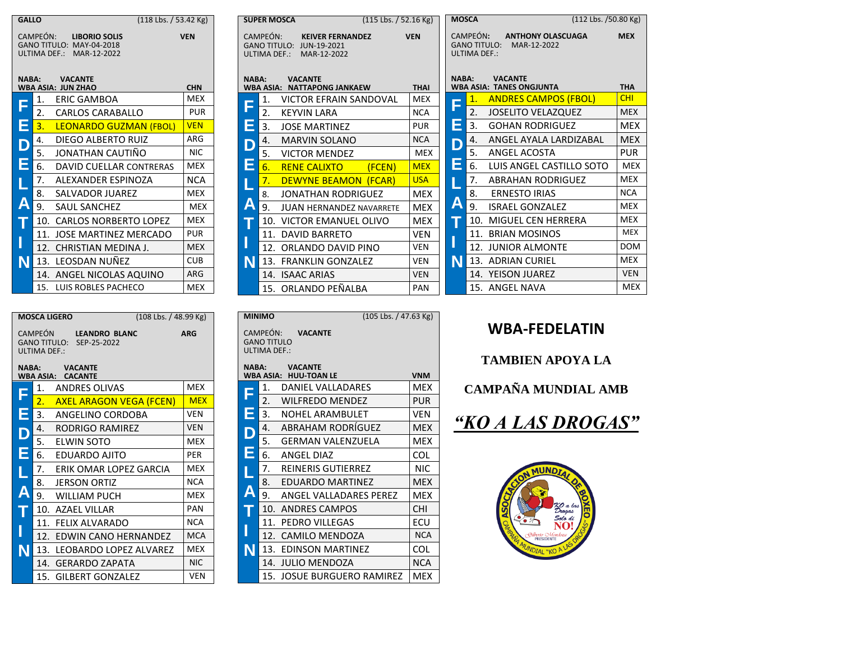| <b>GALLO</b> | $(118$ Lbs. $/$ 53.42 Kg)                                                                |            |              | <b>SUPER MOSCA</b> | (115 Lbs. / 52.16 Kg)                                                           |             |    | <b>MOSCA</b>                                    | (112 Lbs. /50.80 Kg)                              |            |
|--------------|------------------------------------------------------------------------------------------|------------|--------------|--------------------|---------------------------------------------------------------------------------|-------------|----|-------------------------------------------------|---------------------------------------------------|------------|
|              | CAMPEÓN:<br><b>LIBORIO SOLIS</b><br>GANO TITULO: MAY-04-2018<br>ULTIMA DEF.: MAR-12-2022 | <b>VEN</b> |              | CAMPEÓN:           | <b>KEIVER FERNANDEZ</b><br>GANO TITULO: JUN-19-2021<br>ULTIMA DEF.: MAR-12-2022 | <b>VEN</b>  |    | CAMPEÓN:<br><b>GANO TITULO:</b><br>ULTIMA DEF.: | <b>ANTHONY OLASCUAGA</b><br>MAR-12-2022           | <b>MEX</b> |
| <b>NABA:</b> | <b>VACANTE</b><br><b>WBA ASIA: JUN ZHAO</b>                                              | <b>CHN</b> | <b>NABA:</b> | <b>WBA ASIA:</b>   | <b>VACANTE</b><br><b>NATTAPONG JANKAEW</b>                                      | <b>THAI</b> |    | <b>NABA:</b>                                    | <b>VACANTE</b><br><b>WBA ASIA: TANES ONGJUNTA</b> | <b>THA</b> |
|              | ERIC GAMBOA<br>1.                                                                        | <b>MEX</b> |              | 1.                 | <b>VICTOR EFRAIN SANDOVAL</b>                                                   | <b>MEX</b>  | Ē  |                                                 | <b>ANDRES CAMPOS (FBOL)</b>                       | <b>CHI</b> |
|              | $\overline{2}$<br><b>CARLOS CARABALLO</b>                                                | <b>PUR</b> |              | 2.                 | <b>KEYVIN LARA</b>                                                              | <b>NCA</b>  |    | 2.                                              | <b>JOSELITO VELAZQUEZ</b>                         | <b>MEX</b> |
| Ξ            | <b>LEONARDO GUZMAN (FBOL)</b>                                                            | <b>VEN</b> | Ξ            | 3.                 | <b>JOSE MARTINEZ</b>                                                            | <b>PUR</b>  | E. | 3.                                              | <b>GOHAN RODRIGUEZ</b>                            | <b>MEX</b> |
|              | <b>DIEGO ALBERTO RUIZ</b><br>4.                                                          | ARG        |              | 4.                 | <b>MARVIN SOLANO</b>                                                            | <b>NCA</b>  | D  |                                                 | ANGEL AYALA LARDIZABAL                            | <b>MEX</b> |
|              | JONATHAN CAUTIÑO<br>5.                                                                   | <b>NIC</b> |              | 5.                 | <b>VICTOR MENDEZ</b>                                                            | <b>MEX</b>  |    | 5.                                              | <b>ANGEL ACOSTA</b>                               | <b>PUR</b> |
|              | DAVID CUELLAR CONTRERAS<br>6.                                                            | <b>MEX</b> | Е            | 6.                 | <b>RENE CALIXTO</b><br>(FCEN)                                                   | <b>MEX</b>  | E  | 6.                                              | LUIS ANGEL CASTILLO SOTO                          | <b>MEX</b> |
|              | 7.<br>ALEXANDER ESPINOZA                                                                 | <b>NCA</b> |              |                    | <b>DEWYNE BEAMON (FCAR)</b>                                                     | <b>USA</b>  |    |                                                 | <b>ABRAHAN RODRIGUEZ</b>                          | <b>MEX</b> |
|              | SALVADOR JUAREZ<br>8.                                                                    | <b>MEX</b> |              | 8.                 | <b>JONATHAN RODRIGUEZ</b>                                                       | <b>MEX</b>  |    | 8.                                              | <b>ERNESTO IRIAS</b>                              | <b>NCA</b> |
|              | 9<br><b>SAUL SANCHEZ</b>                                                                 | <b>MEX</b> | Α            | 9.                 | <b>JUAN HERNANDEZ NAVARRETE</b>                                                 | <b>MEX</b>  | A  | 9.                                              | <b>ISRAEL GONZALEZ</b>                            | MEX        |
|              | 10. CARLOS NORBERTO LOPEZ                                                                | <b>MEX</b> |              | 10.                | VICTOR EMANUEL OLIVO                                                            | <b>MEX</b>  |    |                                                 | 10. MIGUEL CEN HERRERA                            | MEX        |
|              | 11. JOSE MARTINEZ MERCADO                                                                | <b>PUR</b> |              |                    | 11. DAVID BARRETO                                                               | <b>VEN</b>  |    |                                                 | 11. BRIAN MOSINOS                                 | <b>MEX</b> |
|              | 12. CHRISTIAN MEDINA J.                                                                  | <b>MEX</b> |              | 12.                | ORLANDO DAVID PINO                                                              | VEN         |    |                                                 | 12. JUNIOR ALMONTE                                | <b>DOM</b> |
|              | 13. LEOSDAN NUÑEZ                                                                        | <b>CUB</b> | N            |                    | 13. FRANKLIN GONZALEZ                                                           | VEN         | N  |                                                 | 13. ADRIAN CURIEL                                 | MEX        |
|              | 14. ANGEL NICOLAS AQUINO                                                                 | ARG        |              |                    | 14. ISAAC ARIAS                                                                 | <b>VEN</b>  |    | 14.                                             | <b>YEISON JUAREZ</b>                              | <b>VEN</b> |
|              | 15. LUIS ROBLES PACHECO                                                                  | <b>MEX</b> |              |                    | 15. ORLANDO PEÑALBA                                                             | PAN         |    |                                                 | 15. ANGEL NAVA                                    | <b>MEX</b> |

|       | <b>MOSCA LIGERO</b>                                               | (108 Lbs. / 48.99 Kg) |
|-------|-------------------------------------------------------------------|-----------------------|
|       | CAMPEÓN LEANDRO BLANC<br>GANO TITULO: SEP-25-2022<br>ULTIMA DEF.: | <b>ARG</b>            |
| NABA: | <b>VACANTE</b><br><b>WBA ASIA: CACANTE</b>                        |                       |
|       | ANDRES OLIVAS<br>1.                                               | <b>MEX</b>            |
|       | $\overline{2}$ .<br><b>AXEL ARAGON VEGA (FCEN)</b>                | <b>MEX</b>            |
| Е     | 3.<br>ANGELINO CORDOBA                                            | <b>VEN</b>            |
| D     | 4.<br>RODRIGO RAMIREZ                                             | <b>VFN</b>            |
|       | 5.<br>ELWIN SOTO                                                  | <b>MEX</b>            |
| E     | 6.<br>EDUARDO AJITO                                               | <b>PER</b>            |
|       | 7.<br>ERIK OMAR LOPEZ GARCIA                                      | MEX                   |
|       | 8.<br><b>JERSON ORTIZ</b>                                         | <b>NCA</b>            |
| A     | 9.<br><b>WILLIAM PUCH</b>                                         | <b>MEX</b>            |
|       | 10. AZAEL VILLAR                                                  | <b>PAN</b>            |
|       | 11. FELIX ALVARADO                                                | <b>NCA</b>            |
|       | 12.<br>EDWIN CANO HERNANDEZ                                       | <b>MCA</b>            |
| N     | 13. LEOBARDO LOPEZ ALVAREZ                                        | <b>MEX</b>            |
|       | 14. GERARDO ZAPATA                                                | <b>NIC</b>            |
|       | 15. GILBERT GONZALEZ                                              | VEN                   |

|                                                                  | (105 Lbs. / 47.63 Kg)<br><b>MINIMO</b>         |            |  |  |  |  |  |
|------------------------------------------------------------------|------------------------------------------------|------------|--|--|--|--|--|
| CAMPEÓN:<br><b>VACANTE</b><br><b>GANO TITULO</b><br>ULTIMA DEF.: |                                                |            |  |  |  |  |  |
| <b>NABA:</b>                                                     | <b>VACANTE</b><br><b>WBA ASIA: HUU-TOAN LE</b> | <b>VNM</b> |  |  |  |  |  |
|                                                                  | 1.<br>DANIEL VALLADARES                        | MEX        |  |  |  |  |  |
| F                                                                | 2.<br>WILFREDO MENDEZ                          | PUR        |  |  |  |  |  |
| Ē                                                                | 3.<br>NOHEL ARAMBULET                          | <b>VEN</b> |  |  |  |  |  |
| D                                                                | ABRAHAM RODRÍGUEZ<br>4.                        | <b>MEX</b> |  |  |  |  |  |
|                                                                  | 5.<br><b>GERMAN VALENZUELA</b>                 | <b>MEX</b> |  |  |  |  |  |
| Ē                                                                | 6.<br>ANGEL DIAZ                               | COL        |  |  |  |  |  |
|                                                                  | REINERIS GUTIERREZ<br>7.                       | <b>NIC</b> |  |  |  |  |  |
|                                                                  | EDUARDO MARTINEZ<br>8.                         | <b>MEX</b> |  |  |  |  |  |
| $\overline{\mathsf{A}}$                                          | ANGEL VALLADARES PEREZ<br>9.                   | <b>MEX</b> |  |  |  |  |  |
|                                                                  | 10.<br><b>ANDRES CAMPOS</b>                    | <b>CHI</b> |  |  |  |  |  |
|                                                                  | 11.<br>PEDRO VILLEGAS                          | ECU        |  |  |  |  |  |
|                                                                  | 12.<br>CAMILO MENDOZA                          | <b>NCA</b> |  |  |  |  |  |
| N                                                                | <b>EDINSON MARTINEZ</b><br>13.                 | COL        |  |  |  |  |  |
|                                                                  | 14.<br><b>JULIO MENDOZA</b>                    | <b>NCA</b> |  |  |  |  |  |
|                                                                  | 15.<br><b>JOSUE BURGUERO RAMIREZ</b>           | <b>MEX</b> |  |  |  |  |  |

#### **WBA-FEDELATIN**

**TAMBIEN APOYA LA** 

**CAMPAÑA MUNDIAL AMB**



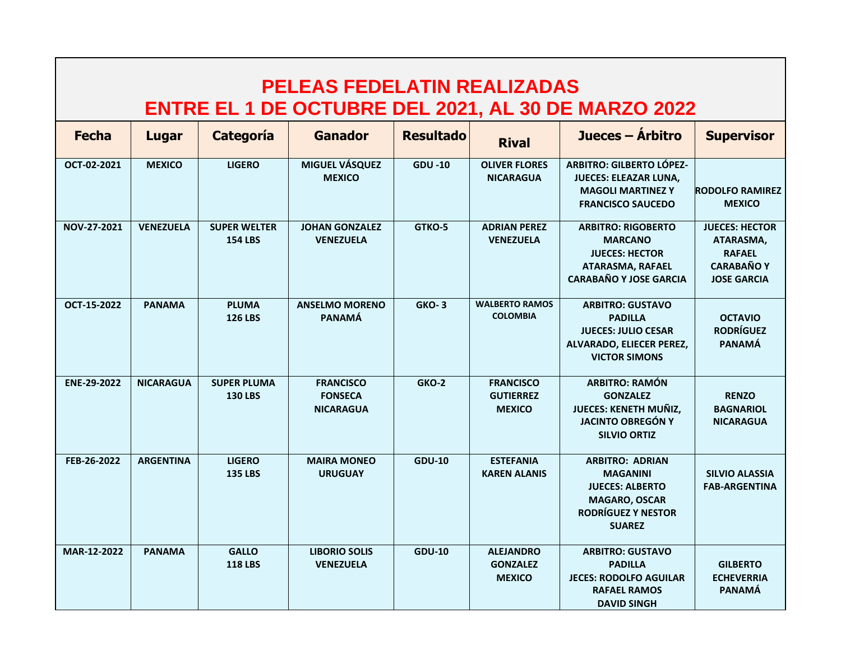| <b>PELEAS FEDELATIN REALIZADAS</b><br>ENTRE EL 1 DE OCTUBRE DEL 2021, AL 30 DE MARZO 2022 |                  |                                       |                                                        |                  |                                                       |                                                                                                                                    |                                                                                                |  |  |  |
|-------------------------------------------------------------------------------------------|------------------|---------------------------------------|--------------------------------------------------------|------------------|-------------------------------------------------------|------------------------------------------------------------------------------------------------------------------------------------|------------------------------------------------------------------------------------------------|--|--|--|
| <b>Fecha</b>                                                                              | Lugar            | Categoría                             | <b>Ganador</b>                                         | <b>Resultado</b> | <b>Rival</b>                                          | Jueces – Árbitro                                                                                                                   | <b>Supervisor</b>                                                                              |  |  |  |
| OCT-02-2021                                                                               | <b>MEXICO</b>    | <b>LIGERO</b>                         | <b>MIGUEL VÁSQUEZ</b><br><b>MEXICO</b>                 | <b>GDU-10</b>    | <b>OLIVER FLORES</b><br><b>NICARAGUA</b>              | <b>ARBITRO: GILBERTO LÓPEZ-</b><br><b>JUECES: ELEAZAR LUNA,</b><br><b>MAGOLI MARTINEZ Y</b><br><b>FRANCISCO SAUCEDO</b>            | <b>RODOLFO RAMIREZ</b><br><b>MEXICO</b>                                                        |  |  |  |
| NOV-27-2021                                                                               | <b>VENEZUELA</b> | <b>SUPER WELTER</b><br><b>154 LBS</b> | <b>JOHAN GONZALEZ</b><br><b>VENEZUELA</b>              | GTKO-5           | <b>ADRIAN PEREZ</b><br><b>VENEZUELA</b>               | <b>ARBITRO: RIGOBERTO</b><br><b>MARCANO</b><br><b>JUECES: HECTOR</b><br><b>ATARASMA, RAFAEL</b><br><b>CARABAÑO Y JOSE GARCIA</b>   | <b>JUECES: HECTOR</b><br>ATARASMA,<br><b>RAFAEL</b><br><b>CARABAÑO Y</b><br><b>JOSE GARCIA</b> |  |  |  |
| OCT-15-2022                                                                               | <b>PANAMA</b>    | <b>PLUMA</b><br><b>126 LBS</b>        | <b>ANSELMO MORENO</b><br><b>PANAMÁ</b>                 | <b>GKO-3</b>     | <b>WALBERTO RAMOS</b><br><b>COLOMBIA</b>              | <b>ARBITRO: GUSTAVO</b><br><b>PADILLA</b><br><b>JUECES: JULIO CESAR</b><br>ALVARADO, ELIECER PEREZ,<br><b>VICTOR SIMONS</b>        | <b>OCTAVIO</b><br><b>RODRÍGUEZ</b><br><b>PANAMÁ</b>                                            |  |  |  |
| ENE-29-2022                                                                               | <b>NICARAGUA</b> | <b>SUPER PLUMA</b><br><b>130 LBS</b>  | <b>FRANCISCO</b><br><b>FONSECA</b><br><b>NICARAGUA</b> | GKO-2            | <b>FRANCISCO</b><br><b>GUTIERREZ</b><br><b>MEXICO</b> | <b>ARBITRO: RAMÓN</b><br><b>GONZALEZ</b><br><b>JUECES: KENETH MUÑIZ,</b><br><b>JACINTO OBREGÓN Y</b><br><b>SILVIO ORTIZ</b>        | <b>RENZO</b><br><b>BAGNARIOL</b><br><b>NICARAGUA</b>                                           |  |  |  |
| FEB-26-2022                                                                               | <b>ARGENTINA</b> | <b>LIGERO</b><br><b>135 LBS</b>       | <b>MAIRA MONEO</b><br><b>URUGUAY</b>                   | <b>GDU-10</b>    | <b>ESTEFANIA</b><br><b>KAREN ALANIS</b>               | <b>ARBITRO: ADRIAN</b><br><b>MAGANINI</b><br><b>JUECES: ALBERTO</b><br><b>MAGARO, OSCAR</b><br>RODRÍGUEZ Y NESTOR<br><b>SUAREZ</b> | <b>SILVIO ALASSIA</b><br><b>FAB-ARGENTINA</b>                                                  |  |  |  |
| MAR-12-2022                                                                               | <b>PANAMA</b>    | <b>GALLO</b><br><b>118 LBS</b>        | <b>LIBORIO SOLIS</b><br><b>VENEZUELA</b>               | <b>GDU-10</b>    | <b>ALEJANDRO</b><br><b>GONZALEZ</b><br><b>MEXICO</b>  | <b>ARBITRO: GUSTAVO</b><br><b>PADILLA</b><br><b>JECES: RODOLFO AGUILAR</b><br><b>RAFAEL RAMOS</b><br><b>DAVID SINGH</b>            | <b>GILBERTO</b><br><b>ECHEVERRIA</b><br><b>PANAMÁ</b>                                          |  |  |  |